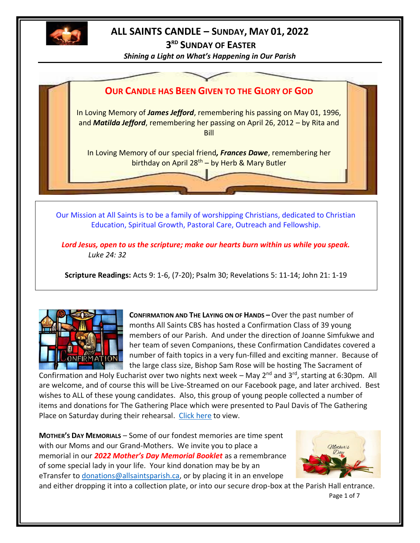

### **ALL SAINTS CANDLE – SUNDAY, MAY 01, 2022**

**3 RD SUNDAY OF EASTER**

*Shining a Light on What's Happening in Our Parish*



Our Mission at All Saints is to be a family of worshipping Christians, dedicated to Christian Education, Spiritual Growth, Pastoral Care, Outreach and Fellowship.

*Lord Jesus, open to us the scripture; make our hearts burn within us while you speak. Luke 24: 32*

**Scripture Readings:** Acts 9: 1-6, (7-20); Psalm 30; Revelations 5: 11-14; John 21: 1-19



**CONFIRMATION AND THE LAYING ON OF HANDS –** Over the past number of months All Saints CBS has hosted a Confirmation Class of 39 young members of our Parish. And under the direction of Joanne Simfukwe and her team of seven Companions, these Confirmation Candidates covered a number of faith topics in a very fun-filled and exciting manner. Because of the large class size, Bishop Sam Rose will be hosting The Sacrament of

Confirmation and Holy Eucharist over two nights next week – May  $2^{nd}$  and  $3^{rd}$ , starting at 6:30pm. All are welcome, and of course this will be Live-Streamed on our Facebook page, and later archived. Best wishes to ALL of these young candidates. Also, this group of young people collected a number of items and donations for The Gathering Place which were presented to Paul Davis of The Gathering Place on Saturday during their rehearsal. [Click here](http://allsaintsparish.ca/data/Gathering%20Place%20Collected%20Items.pdf) to view.

**MOTHER'S DAY MEMORIALS** – Some of our fondest memories are time spent with our Moms and our Grand-Mothers. We invite you to place a memorial in our *2022 Mother's Day Memorial Booklet* as a remembrance of some special lady in your life. Your kind donation may be by an eTransfer to [donations@allsaintsparish.ca,](mailto:donations@allsaintsparish.ca) or by placing it in an envelope



Page 1 of 7 and either dropping it into a collection plate, or into our secure drop-box at the Parish Hall entrance.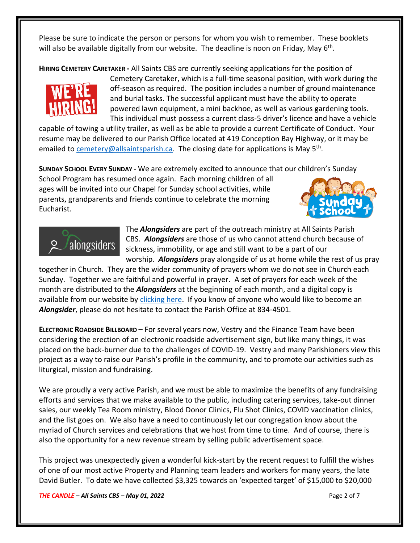Please be sure to indicate the person or persons for whom you wish to remember. These booklets will also be available digitally from our website. The deadline is noon on Friday, May 6<sup>th</sup>.

**HIRING CEMETERY CARETAKER -** All Saints CBS are currently seeking applications for the position of



Cemetery Caretaker, which is a full-time seasonal position, with work during the off-season as required. The position includes a number of ground maintenance and burial tasks. The successful applicant must have the ability to operate powered lawn equipment, a mini backhoe, as well as various gardening tools. This individual must possess a current class-5 driver's licence and have a vehicle

capable of towing a utility trailer, as well as be able to provide a current Certificate of Conduct. Your resume may be delivered to our Parish Office located at 419 Conception Bay Highway, or it may be emailed to **cemetery@allsaintsparish.ca.** The closing date for applications is May 5<sup>th</sup>.

**SUNDAY SCHOOL EVERY SUNDAY -** We are extremely excited to announce that our children's Sunday

School Program has resumed once again. Each morning children of all ages will be invited into our Chapel for Sunday school activities, while parents, grandparents and friends continue to celebrate the morning Eucharist.





The *Alongsiders* are part of the outreach ministry at All Saints Parish CBS. *Alongsiders* are those of us who cannot attend church because of sickness, immobility, or age and still want to be a part of our worship. *Alongsiders* pray alongside of us at home while the rest of us pray

together in Church. They are the wider community of prayers whom we do not see in Church each Sunday. Together we are faithful and powerful in prayer. A set of prayers for each week of the month are distributed to the *Alongsiders* at the beginning of each month, and a digital copy is available from our website by [clicking here.](http://allsaintsparish.ca/community-organizations#Alongsinders) If you know of anyone who would like to become an *Alongsider*, please do not hesitate to contact the Parish Office at 834-4501.

**ELECTRONIC ROADSIDE BILLBOARD –** For several years now, Vestry and the Finance Team have been considering the erection of an electronic roadside advertisement sign, but like many things, it was placed on the back-burner due to the challenges of COVID-19. Vestry and many Parishioners view this project as a way to raise our Parish's profile in the community, and to promote our activities such as liturgical, mission and fundraising.

We are proudly a very active Parish, and we must be able to maximize the benefits of any fundraising efforts and services that we make available to the public, including catering services, take-out dinner sales, our weekly Tea Room ministry, Blood Donor Clinics, Flu Shot Clinics, COVID vaccination clinics, and the list goes on. We also have a need to continuously let our congregation know about the myriad of Church services and celebrations that we host from time to time. And of course, there is also the opportunity for a new revenue stream by selling public advertisement space.

This project was unexpectedly given a wonderful kick-start by the recent request to fulfill the wishes of one of our most active Property and Planning team leaders and workers for many years, the late David Butler. To date we have collected \$3,325 towards an 'expected target' of \$15,000 to \$20,000

*THE CANDLE – All Saints CBS – May 01, 2022* Page 2 of 7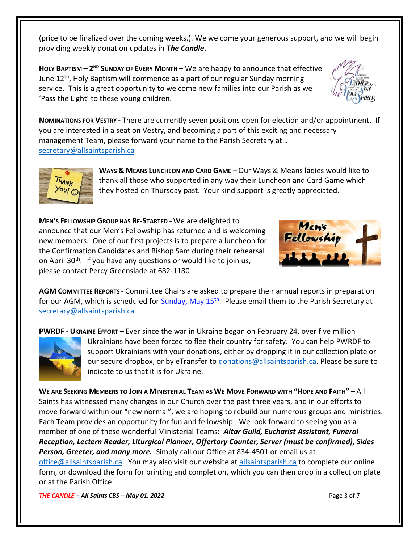(price to be finalized over the coming weeks.). We welcome your generous support, and we will begin providing weekly donation updates in *The Candle*.

**HOLY BAPTISM – 2 ND SUNDAY OF EVERY MONTH –** We are happy to announce that effective June 12<sup>th</sup>, Holy Baptism will commence as a part of our regular Sunday morning service. This is a great opportunity to welcome new families into our Parish as we 'Pass the Light' to these young children.





**WAYS & MEANS LUNCHEON AND CARD GAME –** Our Ways & Means ladies would like to thank all those who supported in any way their Luncheon and Card Game which they hosted on Thursday past. Your kind support is greatly appreciated.

**MEN'S FELLOWSHIP GROUP HAS RE-STARTED -** We are delighted to announce that our Men's Fellowship has returned and is welcoming new members. One of our first projects is to prepare a luncheon for the Confirmation Candidates and Bishop Sam during their rehearsal on April 30<sup>th</sup>. If you have any questions or would like to join us, please contact Percy Greenslade at 682-1180



**AGM COMMITTEE REPORTS -** Committee Chairs are asked to prepare their annual reports in preparation for our AGM, which is scheduled for Sunday, May 15<sup>th</sup>. Please email them to the Parish Secretary at [secretary@allsaintsparish.ca](mailto:Committee%20Chairs%20are%20asked%20to%20prepare%20their%20annual%20reports%20in%20preparation%20for%20our%20AGM,%20which%20is%20tentatively%20scheduled%20for%20April%2024th%20(subject%20to%20change).%20%20Please%20email%20them%20to%20the%20Parish%20Secretary%20at%20secretary@allsaintsparish.ca%20%20?subject=AGM%20Committee%20Report)

**PWRDF - UKRAINE EFFORT –** Ever since the war in Ukraine began on February 24, over five million



Ukrainians have been forced to flee their country for safety. You can help PWRDF to support Ukrainians with your donations, either by dropping it in our collection plate or our secure dropbox, or by eTransfer to [donations@allsaintsparish.ca.](mailto:donations@allsaintsparish.ca) Please be sure to indicate to us that it is for Ukraine.

WE ARE SEEKING MEMBERS TO JOIN A MINISTERIAL TEAM AS WE MOVE FORWARD WITH "HOPE AND FAITH" - All Saints has witnessed many changes in our Church over the past three years, and in our efforts to move forward within our "new normal", we are hoping to rebuild our numerous groups and ministries. Each Team provides an opportunity for fun and fellowship. We look forward to seeing you as a member of one of these wonderful Ministerial Teams: *Altar Guild, Eucharist Assistant, Funeral Reception, Lectern Reader, Liturgical Planner, Offertory Counter, Server (must be confirmed), Sides Person, Greeter, and many more.* Simply call our Office at 834-4501 or email us at [office@allsaintsparish.ca.](mailto:office@allsaintsparish.ca) You may also visit our website at [allsaintsparish.ca](/Users/ralphfagan/Documents/All%20Saints%20Parish/Candle/ASP%202022%20Candle/allsaintsparish.ca) to complete our online form, or download the form for printing and completion, which you can then drop in a collection plate

*THE CANDLE – All Saints CBS – May 01, 2022* Page 3 of 7

or at the Parish Office.

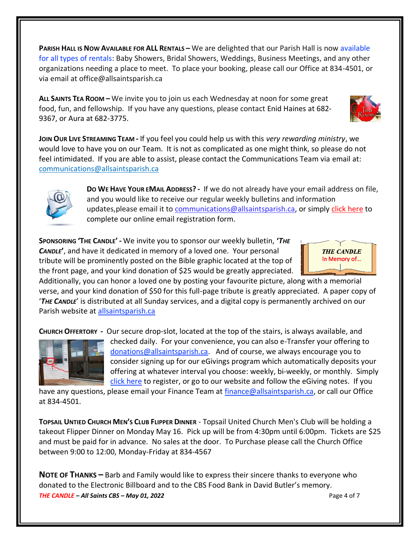**PARISH HALL IS NOW AVAILABLE FOR ALL RENTALS –** We are delighted that our Parish Hall is now available for all types of rentals: Baby Showers, Bridal Showers, Weddings, Business Meetings, and any other organizations needing a place to meet. To place your booking, please call our Office at 834-4501, or via email at office@allsaintsparish.ca

**ALL SAINTS TEA ROOM –** We invite you to join us each Wednesday at noon for some great food, fun, and fellowship. If you have any questions, please contact Enid Haines at 682- 9367, or Aura at 682-3775.

**JOIN OUR LIVE STREAMING TEAM -** If you feel you could help us with this *very rewarding ministry*, we would love to have you on our Team. It is not as complicated as one might think, so please do not feel intimidated. If you are able to assist, please contact the Communications Team via email at: [communications@allsaintsparish.ca](mailto:communications@allsaintsparish.ca?subject=Live%20Streaming%20Team) 



**DO WE HAVE YOUR EMAIL ADDRESS? -** If we do not already have your email address on file, and you would like to receive our regular weekly bulletins and information updates, please email it to [communications@allsaintsparish.ca,](mailto:communications@allsaintsparish.ca?subject=eMail%20Address%20Update) or simply [click here](http://allsaintsparish.ca/email_updates) to complete our online email registration form.

**SPONSORING 'THE CANDLE' -** We invite you to sponsor our weekly bulletin, **'***THE CANDLE***'**, and have it dedicated in memory of a loved one. Your personal tribute will be prominently posted on the Bible graphic located at the top of the front page, and your kind donation of \$25 would be greatly appreciated.

Additionally, you can honor a loved one by posting your favourite picture, along with a memorial verse, and your kind donation of \$50 for this full-page tribute is greatly appreciated. A paper copy of '*THE CANDLE*' is distributed at all Sunday services, and a digital copy is permanently archived on our Parish website at [allsaintsparish.ca](http://allsaintsparish.ca/thecandle.html)

**CHURCH OFFERTORY -** Our secure drop-slot, located at the top of the stairs, is always available, and



checked daily. For your convenience, you can also e-Transfer your offering to [donations@allsaintsparish.ca.](mailto:donations@allsaintsparish.ca) And of course, we always encourage you to consider signing up for our eGivings program which automatically deposits your offering at whatever interval you choose: weekly, bi-weekly, or monthly. Simply [click here](http://allsaintsparish.ca/egiving-online-information-form) to register, or go to our website and follow the eGiving notes. If you

have [any](https://wfsites-to.websitecreatorprotool.com/870a5dd5.com/Admin/%7BSK_NODEID__22939341__SK%7D) questions, please email your Finance Team at [finance@allsaintsparish.ca,](mailto:finance@allsaintsparish.ca) or call our Office at 834-4501.

**TOPSAIL UNTIED CHURCH MEN'S CLUB FLIPPER DINNER** - Topsail United Church Men's Club will be holding a takeout Flipper Dinner on Monday May 16. Pick up will be from 4:30pm until 6:00pm. Tickets are \$25 and must be paid for in advance. No sales at the door. To Purchase please call the Church Office between 9:00 to 12:00, Monday-Friday at 834-4567

*THE CANDLE – All Saints CBS – May 01, 2022* Page 4 of 7 **NOTE OF THANKS –** Barb and Family would like to express their sincere thanks to everyone who donated to the Electronic Billboard and to the CBS Food Bank in David Butler's memory.



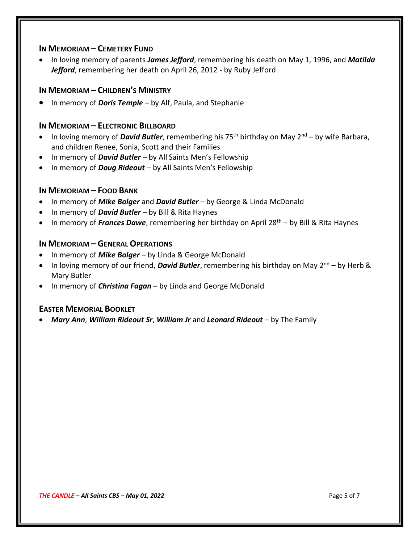#### **IN MEMORIAM – CEMETERY FUND**

• In loving memory of parents *James Jefford*, remembering his death on May 1, 1996, and *Matilda Jefford*, remembering her death on April 26, 2012 - by Ruby Jefford

#### **IN MEMORIAM – CHILDREN'S MINISTRY**

• In memory of *Doris Temple* – by Alf, Paula, and Stephanie

#### **IN MEMORIAM – ELECTRONIC BILLBOARD**

- In loving memory of *David Butler*, remembering his 75<sup>th</sup> birthday on May 2<sup>nd</sup> by wife Barbara, and children Renee, Sonia, Scott and their Families
- In memory of *David Butler* by All Saints Men's Fellowship
- In memory of *Doug Rideout* by All Saints Men's Fellowship

#### **IN MEMORIAM – FOOD BANK**

- In memory of *Mike Bolger* and *David Butler* by George & Linda McDonald
- In memory of *David Butler* by Bill & Rita Haynes
- In memory of *Frances Dawe*, remembering her birthday on April 28<sup>th</sup> by Bill & Rita Haynes

#### **IN MEMORIAM – GENERAL OPERATIONS**

- In memory of *Mike Bolger* by Linda & George McDonald
- In loving memory of our friend, **David Butler**, remembering his birthday on May 2<sup>nd</sup> by Herb & Mary Butler
- In memory of *Christina Fagan* by Linda and George McDonald

#### **EASTER MEMORIAL BOOKLET**

• *Mary Ann*, *William Rideout Sr*, *William Jr* and *Leonard Rideout* – by The Family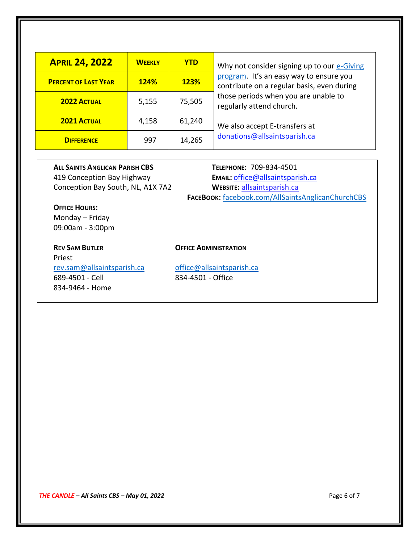| <b>APRIL 24, 2022</b>       | <b>WEEKLY</b> | <b>YTD</b>  | Why not consider signing up to our e-Giving                                                                                                               |
|-----------------------------|---------------|-------------|-----------------------------------------------------------------------------------------------------------------------------------------------------------|
| <b>PERCENT OF LAST YEAR</b> | <b>124%</b>   | <b>123%</b> | program. It's an easy way to ensure you<br>contribute on a regular basis, even during<br>those periods when you are unable to<br>regularly attend church. |
| <b>2022 ACTUAL</b>          | 5,155         | 75,505      |                                                                                                                                                           |
| <b>2021 ACTUAL</b>          | 4,158         | 61,240      | We also accept E-transfers at                                                                                                                             |
| <b>DIFFERENCE</b>           | 997           | 14,265      | donations@allsaintsparish.ca                                                                                                                              |

**ALL SAINTS ANGLICAN PARISH CBS TELEPHONE:** 709-834-4501

### 419 Conception Bay Highway **EMAIL:** [office@allsaintsparish.ca](mailto:office@allsaintsparish.ca) Conception Bay South, NL, A1X 7A2 **WEBSITE:** [allsaintsparish.ca](http://allsaintsparish.ca/) **FACEBOOK:** [facebook.com/AllSaintsAnglicanChurchCBS](http://facebook.com/AllSaintsAnglicanChurchCBS)

**OFFICE HOURS:** Monday – Friday 09:00am - 3:00pm

## Priest

#### **REV SAM BUTLER OFFICE ADMINISTRATION**

[rev.sam@allsaintsparish.ca](mailto:rev.sam@allsaintsparish.ca) [office@allsaintsparish.ca](mailto:office@allsaintsparish.ca) 689-4501 - Cell 834-4501 - Office 834-9464 - Home